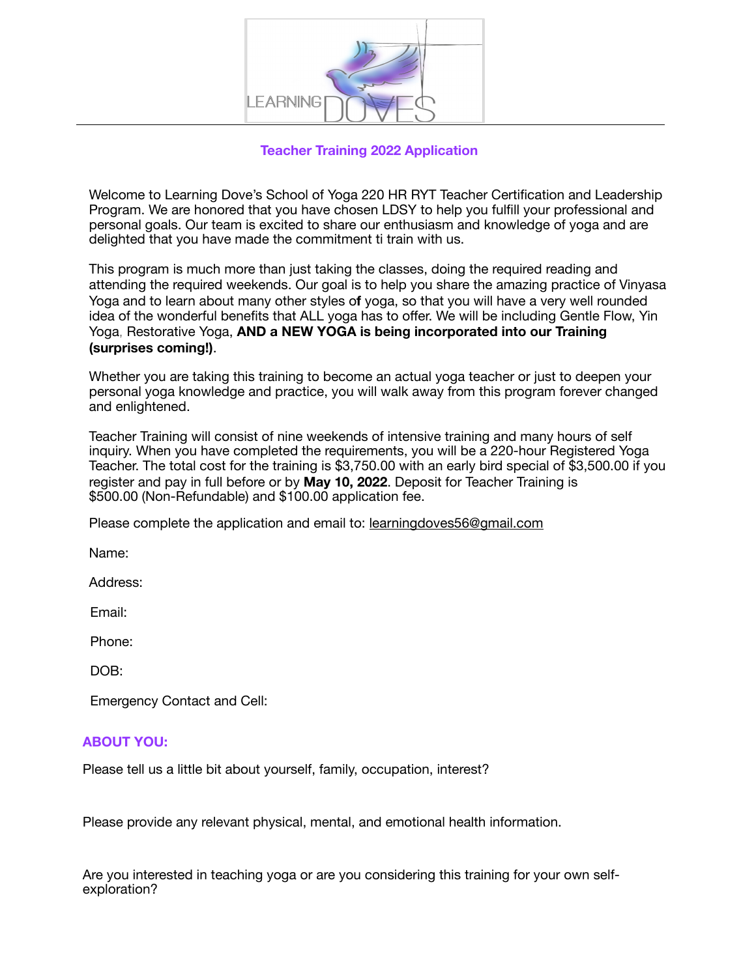

# **Teacher Training 2022 Application**

Welcome to Learning Dove's School of Yoga 220 HR RYT Teacher Certification and Leadership Program. We are honored that you have chosen LDSY to help you fulfill your professional and personal goals. Our team is excited to share our enthusiasm and knowledge of yoga and are delighted that you have made the commitment ti train with us.

This program is much more than just taking the classes, doing the required reading and attending the required weekends. Our goal is to help you share the amazing practice of Vinyasa Yoga and to learn about many other styles o**f** yoga, so that you will have a very well rounded idea of the wonderful benefits that ALL yoga has to offer. We will be including Gentle Flow, Yin Yoga, Restorative Yoga, **AND a NEW YOGA is being incorporated into our Training (surprises coming!)**.

Whether you are taking this training to become an actual yoga teacher or just to deepen your personal yoga knowledge and practice, you will walk away from this program forever changed and enlightened.

Teacher Training will consist of nine weekends of intensive training and many hours of self inquiry. When you have completed the requirements, you will be a 220-hour Registered Yoga Teacher. The total cost for the training is \$3,750.00 with an early bird special of \$3,500.00 if you register and pay in full before or by **May 10, 2022**. Deposit for Teacher Training is \$500.00 (Non-Refundable) and \$100.00 application fee.

Please complete the application and email to: [lear](mailto:learningdoves56@gmail.com)[ningdoves56@gmail.com](mailto:ningdoves56@gmail.com)

Name:

Address:

Email:

Phone:

DOB:

Emergency Contact and Cell:

## **ABOUT YOU:**

Please tell us a little bit about yourself, family, occupation, interest?

Please provide any relevant physical, mental, and emotional health information.

Are you interested in teaching yoga or are you considering this training for your own selfexploration?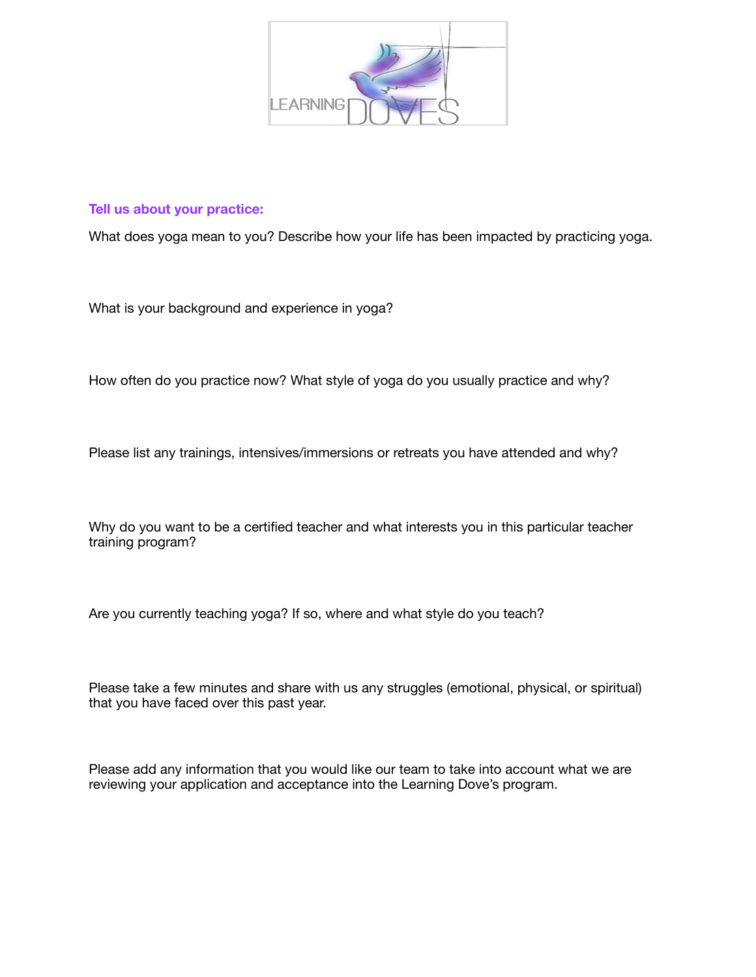

### **Tell us about your practice:**

What does yoga mean to you? Describe how your life has been impacted by practicing yoga.

What is your background and experience in yoga?

How often do you practice now? What style of yoga do you usually practice and why?

Please list any trainings, intensives/immersions or retreats you have attended and why?

Why do you want to be a certified teacher and what interests you in this particular teacher training program?

Are you currently teaching yoga? If so, where and what style do you teach?

Please take a few minutes and share with us any struggles (emotional, physical, or spiritual) that you have faced over this past year.

Please add any information that you would like our team to take into account what we are reviewing your application and acceptance into the Learning Dove's program.